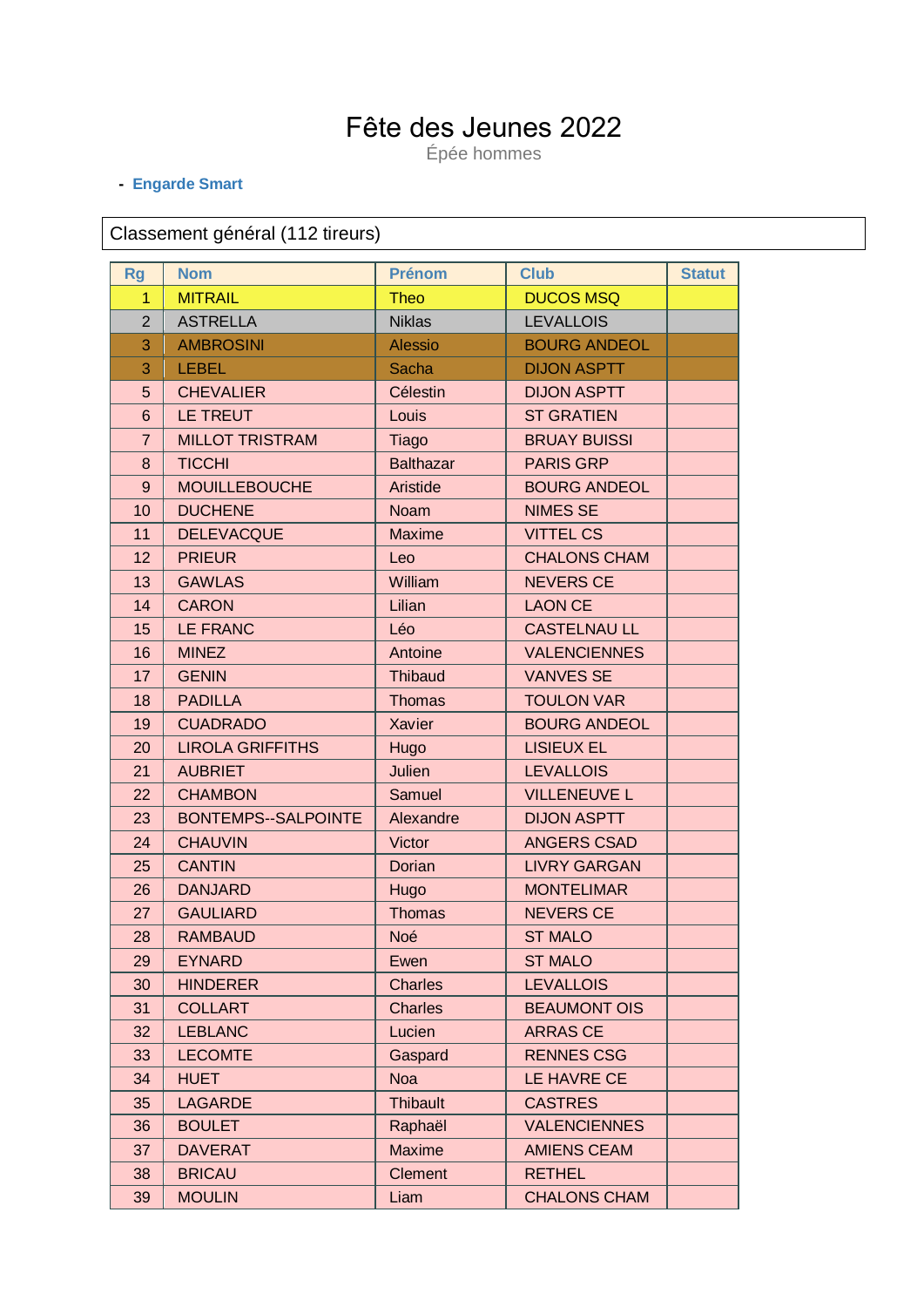## Fête des Jeunes 2022

Épée hommes

## - Engarde Smart

## Classement général (112 tireurs)

| <b>Rg</b>      | <b>Nom</b>                 | <b>Prénom</b>    | <b>Club</b>         | <b>Statut</b> |
|----------------|----------------------------|------------------|---------------------|---------------|
| $\mathbf{1}$   | <b>MITRAIL</b>             | <b>Theo</b>      | <b>DUCOS MSQ</b>    |               |
| $\overline{2}$ | <b>ASTRELLA</b>            | <b>Niklas</b>    | <b>LEVALLOIS</b>    |               |
| 3              | <b>AMBROSINI</b>           | <b>Alessio</b>   | <b>BOURG ANDEOL</b> |               |
| 3              | <b>LEBEL</b>               | Sacha            | <b>DIJON ASPTT</b>  |               |
| 5              | <b>CHEVALIER</b>           | Célestin         | <b>DIJON ASPTT</b>  |               |
| $6\phantom{1}$ | LE TREUT                   | Louis            | <b>ST GRATIEN</b>   |               |
| $\overline{7}$ | <b>MILLOT TRISTRAM</b>     | <b>Tiago</b>     | <b>BRUAY BUISSI</b> |               |
| 8              | <b>TICCHI</b>              | <b>Balthazar</b> | <b>PARIS GRP</b>    |               |
| 9              | <b>MOUILLEBOUCHE</b>       | Aristide         | <b>BOURG ANDEOL</b> |               |
| 10             | <b>DUCHENE</b>             | Noam             | <b>NIMES SE</b>     |               |
| 11             | <b>DELEVACQUE</b>          | <b>Maxime</b>    | <b>VITTEL CS</b>    |               |
| 12             | <b>PRIEUR</b>              | Leo              | <b>CHALONS CHAM</b> |               |
| 13             | <b>GAWLAS</b>              | William          | <b>NEVERS CE</b>    |               |
| 14             | <b>CARON</b>               | Lilian           | <b>LAON CE</b>      |               |
| 15             | <b>LE FRANC</b>            | Léo              | <b>CASTELNAU LL</b> |               |
| 16             | <b>MINEZ</b>               | Antoine          | <b>VALENCIENNES</b> |               |
| 17             | <b>GENIN</b>               | <b>Thibaud</b>   | <b>VANVES SE</b>    |               |
| 18             | <b>PADILLA</b>             | <b>Thomas</b>    | <b>TOULON VAR</b>   |               |
| 19             | <b>CUADRADO</b>            | Xavier           | <b>BOURG ANDEOL</b> |               |
| 20             | <b>LIROLA GRIFFITHS</b>    | Hugo             | <b>LISIEUX EL</b>   |               |
| 21             | <b>AUBRIET</b>             | <b>Julien</b>    | <b>LEVALLOIS</b>    |               |
| 22             | <b>CHAMBON</b>             | Samuel           | <b>VILLENEUVE L</b> |               |
| 23             | <b>BONTEMPS--SALPOINTE</b> | Alexandre        | <b>DIJON ASPTT</b>  |               |
| 24             | <b>CHAUVIN</b>             | Victor           | <b>ANGERS CSAD</b>  |               |
| 25             | <b>CANTIN</b>              | Dorian           | <b>LIVRY GARGAN</b> |               |
| 26             | <b>DANJARD</b>             | <b>Hugo</b>      | <b>MONTELIMAR</b>   |               |
| 27             | <b>GAULIARD</b>            | <b>Thomas</b>    | <b>NEVERS CE</b>    |               |
| 28             | <b>RAMBAUD</b>             | Noé              | <b>ST MALO</b>      |               |
| 29             | <b>EYNARD</b>              | Ewen             | <b>ST MALO</b>      |               |
| 30             | <b>HINDERER</b>            | <b>Charles</b>   | <b>LEVALLOIS</b>    |               |
| 31             | <b>COLLART</b>             | <b>Charles</b>   | <b>BEAUMONT OIS</b> |               |
| 32             | <b>LEBLANC</b>             | Lucien           | <b>ARRAS CE</b>     |               |
| 33             | <b>LECOMTE</b>             | Gaspard          | <b>RENNES CSG</b>   |               |
| 34             | <b>HUET</b>                | <b>Noa</b>       | LE HAVRE CE         |               |
| 35             | <b>LAGARDE</b>             | <b>Thibault</b>  | <b>CASTRES</b>      |               |
| 36             | <b>BOULET</b>              | Raphaël          | <b>VALENCIENNES</b> |               |
| 37             | <b>DAVERAT</b>             | <b>Maxime</b>    | <b>AMIENS CEAM</b>  |               |
| 38             | <b>BRICAU</b>              | <b>Clement</b>   | <b>RETHEL</b>       |               |
| 39             | <b>MOULIN</b>              | Liam             | <b>CHALONS CHAM</b> |               |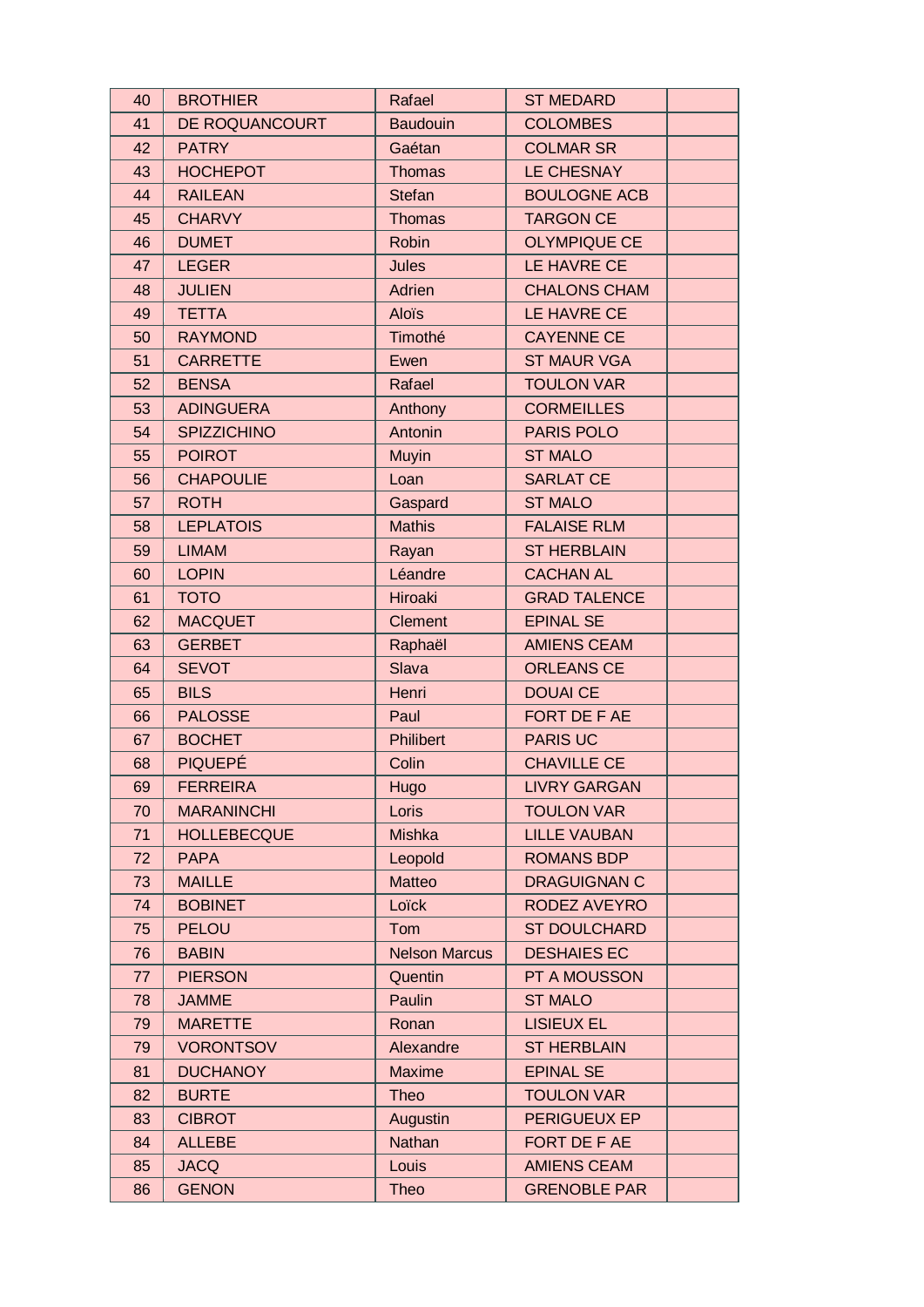| 40 | <b>BROTHIER</b>    | Rafael               | <b>ST MEDARD</b>    |
|----|--------------------|----------------------|---------------------|
| 41 | DE ROQUANCOURT     | <b>Baudouin</b>      | <b>COLOMBES</b>     |
| 42 | <b>PATRY</b>       | Gaétan               | <b>COLMAR SR</b>    |
| 43 | <b>HOCHEPOT</b>    | <b>Thomas</b>        | <b>LE CHESNAY</b>   |
| 44 | <b>RAILEAN</b>     | <b>Stefan</b>        | <b>BOULOGNE ACB</b> |
| 45 | <b>CHARVY</b>      | <b>Thomas</b>        | <b>TARGON CE</b>    |
| 46 | <b>DUMET</b>       | Robin                | <b>OLYMPIQUE CE</b> |
| 47 | <b>LEGER</b>       | <b>Jules</b>         | LE HAVRE CE         |
| 48 | <b>JULIEN</b>      | Adrien               | <b>CHALONS CHAM</b> |
| 49 | <b>TETTA</b>       | <b>Aloïs</b>         | LE HAVRE CE         |
| 50 | <b>RAYMOND</b>     | Timothé              | <b>CAYENNE CE</b>   |
| 51 | <b>CARRETTE</b>    | Ewen                 | <b>ST MAUR VGA</b>  |
| 52 | <b>BENSA</b>       | Rafael               | <b>TOULON VAR</b>   |
| 53 | <b>ADINGUERA</b>   | Anthony              | <b>CORMEILLES</b>   |
| 54 | <b>SPIZZICHINO</b> | Antonin              | <b>PARIS POLO</b>   |
| 55 | <b>POIROT</b>      | Muyin                | <b>ST MALO</b>      |
| 56 | <b>CHAPOULIE</b>   | Loan                 | <b>SARLAT CE</b>    |
| 57 | <b>ROTH</b>        | Gaspard              | <b>ST MALO</b>      |
| 58 | <b>LEPLATOIS</b>   | <b>Mathis</b>        | <b>FALAISE RLM</b>  |
| 59 | <b>LIMAM</b>       | Rayan                | <b>ST HERBLAIN</b>  |
| 60 | <b>LOPIN</b>       | Léandre              | <b>CACHAN AL</b>    |
| 61 | <b>TOTO</b>        | Hiroaki              | <b>GRAD TALENCE</b> |
| 62 | <b>MACQUET</b>     | <b>Clement</b>       | <b>EPINAL SE</b>    |
| 63 | <b>GERBET</b>      | Raphaël              | <b>AMIENS CEAM</b>  |
| 64 | <b>SEVOT</b>       | Slava                | <b>ORLEANS CE</b>   |
| 65 | <b>BILS</b>        | Henri                | <b>DOUAI CE</b>     |
| 66 | <b>PALOSSE</b>     | Paul                 | FORT DE F AE        |
| 67 | <b>BOCHET</b>      | <b>Philibert</b>     | <b>PARIS UC</b>     |
| 68 | <b>PIQUEPÉ</b>     | Colin                | <b>CHAVILLE CE</b>  |
| 69 | <b>FERREIRA</b>    | Hugo                 | <b>LIVRY GARGAN</b> |
| 70 | <b>MARANINCHI</b>  | Loris                | <b>TOULON VAR</b>   |
| 71 | <b>HOLLEBECQUE</b> | Mishka               | <b>LILLE VAUBAN</b> |
| 72 | <b>PAPA</b>        | Leopold              | <b>ROMANS BDP</b>   |
| 73 | <b>MAILLE</b>      | <b>Matteo</b>        | <b>DRAGUIGNAN C</b> |
| 74 | <b>BOBINET</b>     | Loïck                | RODEZ AVEYRO        |
| 75 | <b>PELOU</b>       | Tom                  | <b>ST DOULCHARD</b> |
| 76 | <b>BABIN</b>       | <b>Nelson Marcus</b> | <b>DESHAIES EC</b>  |
| 77 | <b>PIERSON</b>     | Quentin              | PT A MOUSSON        |
| 78 | <b>JAMME</b>       | Paulin               | <b>ST MALO</b>      |
| 79 | <b>MARETTE</b>     | Ronan                | <b>LISIEUX EL</b>   |
| 79 | <b>VORONTSOV</b>   | Alexandre            | <b>ST HERBLAIN</b>  |
| 81 | <b>DUCHANOY</b>    | <b>Maxime</b>        | <b>EPINAL SE</b>    |
| 82 | <b>BURTE</b>       | Theo                 | <b>TOULON VAR</b>   |
| 83 | <b>CIBROT</b>      | Augustin             | PERIGUEUX EP        |
| 84 | <b>ALLEBE</b>      | <b>Nathan</b>        | FORT DE F AE        |
| 85 | <b>JACQ</b>        | Louis                | <b>AMIENS CEAM</b>  |
| 86 | <b>GENON</b>       | Theo                 | <b>GRENOBLE PAR</b> |